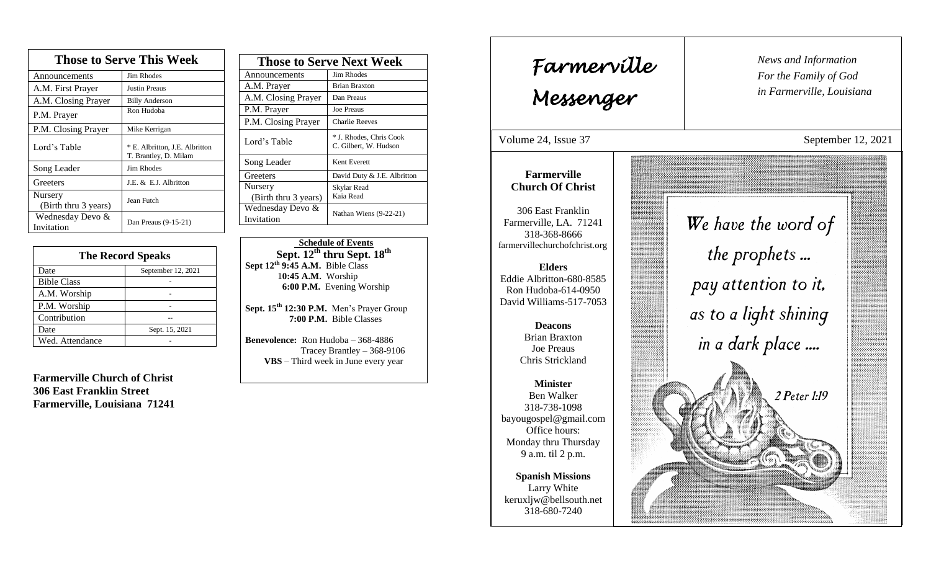| <b>Those to Serve This Week</b> |                                                         |  |
|---------------------------------|---------------------------------------------------------|--|
| Announcements                   | <b>Jim Rhodes</b>                                       |  |
| A.M. First Prayer               | <b>Justin Preaus</b>                                    |  |
| A.M. Closing Prayer             | <b>Billy Anderson</b>                                   |  |
| P.M. Prayer                     | Ron Hudoba                                              |  |
| P.M. Closing Prayer             | Mike Kerrigan                                           |  |
| Lord's Table                    | * E. Albritton, J.E. Albritton<br>T. Brantley, D. Milam |  |
| Song Leader                     | Jim Rhodes                                              |  |
| Greeters                        | J.E. & E.J. Albritton                                   |  |
| Nursery<br>(Birth thru 3 years) | Jean Futch                                              |  |
| Wednesday Devo &<br>Invitation  | Dan Preaus (9-15-21)                                    |  |

| <b>The Record Speaks</b> |                    |
|--------------------------|--------------------|
| Date                     | September 12, 2021 |
| <b>Bible Class</b>       |                    |
| A.M. Worship             |                    |
| P.M. Worship             |                    |
| Contribution             |                    |
| Date                     | Sept. 15, 2021     |
| Wed. Attendance          |                    |

**Farmerville Church of Christ 306 East Franklin Street Farmerville, Louisiana 71241**

| <b>Those to Serve Next Week</b> |                                                  |
|---------------------------------|--------------------------------------------------|
| Announcements                   | Jim Rhodes                                       |
| A.M. Prayer                     | <b>Brian Braxton</b>                             |
| A.M. Closing Prayer             | Dan Preaus                                       |
| P.M. Prayer                     | <b>Joe Preaus</b>                                |
| P.M. Closing Prayer             | <b>Charlie Reeves</b>                            |
| Lord's Table                    | * J. Rhodes, Chris Cook<br>C. Gilbert, W. Hudson |
| Song Leader                     | Kent Everett                                     |
| Greeters                        | David Duty & J.E. Albritton                      |
| Nursery                         | Skylar Read                                      |
| (Birth thru 3 years)            | Kaia Read                                        |
| Wednesday Devo &                | Nathan Wiens (9-22-21)                           |
| Invitation                      |                                                  |

 **Schedule of Events**  $\overline{\text{Sept. 12}}^{\text{th}}$  thru  $\overline{\text{Sept. 18}}^{\text{th}}$ **Sept 12th 9:45 A.M.** Bible Class 1**0:45 A.M.** Worship  **6:00 P.M.** Evening Worship

**Sept. 15th 12:30 P.M.** Men's Prayer Group **7:00 P.M.** Bible Classes

**Benevolence:** Ron Hudoba – 368-4886 Tracey Brantley – 368-9106 **VBS** – Third week in June every year

*News and Information* **Farmerville**  $\begin{bmatrix} \text{News an} \\ \text{For the} \end{bmatrix}$ *For the Family of God in Farmerville, Louisiana Messenger*  Volume 24, Issue 37 September 12, 2021 , 2015 **Farmerville Church Of Christ** 306 East Franklin We have the word of Farmerville, LA. 71241 318-368-8666 farmervillechurchofchrist.org the prophets... **Elders** Eddie Albritton-680-8585 pay attention to it. Ron Hudoba-614-0950 David Williams-517-7053 as to a light shining **Deacons**  in a dark place .... Brian Braxton Joe Preaus Chris Strickland **Minister** Ben Walker 2 Peter 1:19 318-738-1098 bayougospel@gmail.com Office hours: Monday thru Thursday 9 a.m. til 2 p.m. **Spanish Missions** Larry White keruxljw@bellsouth.net 318-680-7240